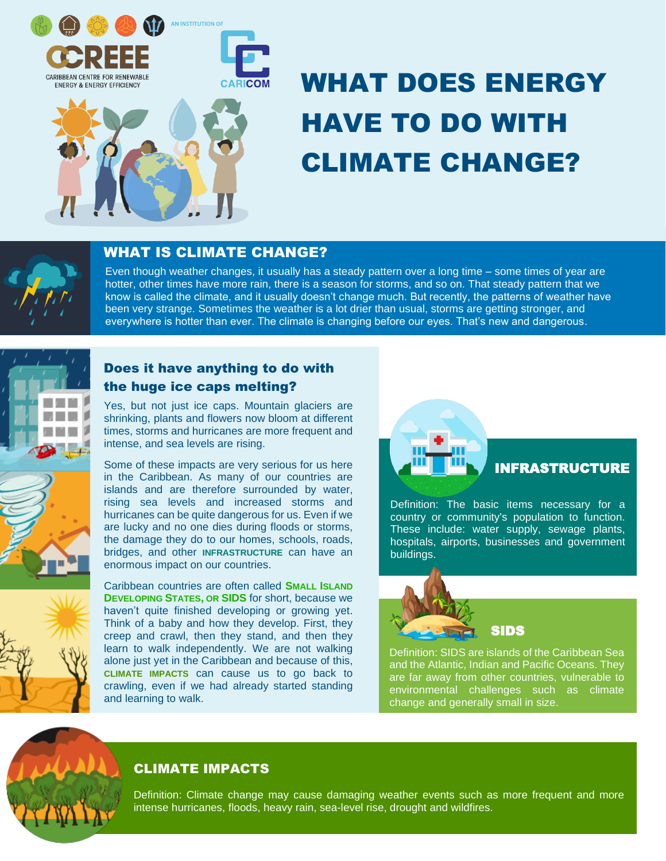

# WHAT DOES ENERGY HAVE TO DO WITH CLIMATE CHANGE?

# WHAT IS CLIMATE CHANGE?

 everywhere is hotter than ever. The climate is changing before our eyes. That's new and dangerous. Even though weather changes, it usually has a steady pattern over a long time – some times of year are hotter, other times have more rain, there is a season for storms, and so on. That steady pattern that we know is called the climate, and it usually doesn't change much. But recently, the patterns of weather have been very strange. Sometimes the weather is a lot drier than usual, storms are getting stronger, and



# Does it have anything to do with the huge ice caps melting?

Yes, but not just ice caps. Mountain glaciers are shrinking, plants and flowers now bloom at different times, storms and hurricanes are more frequent and intense, and sea levels are rising.

Some of these impacts are very serious for us here in the Caribbean. As many of our countries are islands and are therefore surrounded by water, rising sea levels and increased storms and hurricanes can be quite dangerous for us. Even if we are lucky and no one dies during floods or storms, the damage they do to our homes, schools, roads, bridges, and other **INFRASTRUCTURE** can have an enormous impact on our countries.

Caribbean countries are often called **SMALL ISLAND DEVELOPING STATES, OR SIDS** for short, because we haven't quite finished developing or growing yet. Think of a baby and how they develop. First, they creep and crawl, then they stand, and then they learn to walk independently. We are not walking alone just yet in the Caribbean and because of this, **CLIMATE IMPACTS** can cause us to go back to crawling, even if we had already started standing and learning to walk.



## INFRASTRUCTURE

Definition: The basic items necessary for a country or community's population to function. These include: water supply, sewage plants, hospitals, airports, businesses and government buildings.





Definition: SIDS are islands of the Caribbean Sea and the Atlantic, Indian and Pacific Oceans. They are far away from other countries, vulnerable to environmental challenges such as climate change and generally small in size.

# CLIMATE IMPACTS

Definition: Climate change may cause damaging weather events such as more frequent and more intense hurricanes, floods, heavy rain, sea-level rise, drought and wildfires.